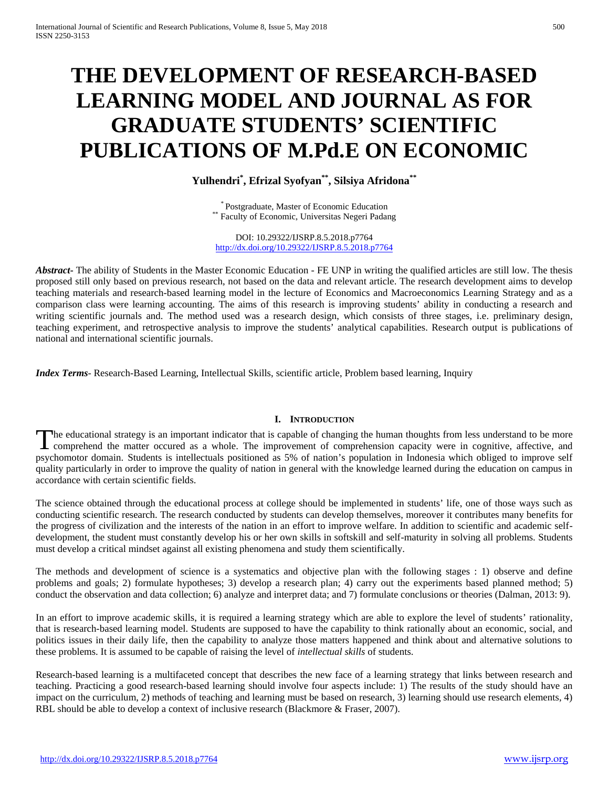# **THE DEVELOPMENT OF RESEARCH-BASED LEARNING MODEL AND JOURNAL AS FOR GRADUATE STUDENTS' SCIENTIFIC PUBLICATIONS OF M.Pd.E ON ECONOMIC**

# **Yulhendri\* , Efrizal Syofyan\*\*, Silsiya Afridona\*\***

\* Postgraduate, Master of Economic Education \*\* Faculty of Economic, Universitas Negeri Padang

DOI: 10.29322/IJSRP.8.5.2018.p7764 <http://dx.doi.org/10.29322/IJSRP.8.5.2018.p7764>

*Abstract* – The ability of Students in the Master Economic Education - FE UNP in writing the qualified articles are still low. The thesis proposed still only based on previous research, not based on the data and relevant article. The research development aims to develop teaching materials and research-based learning model in the lecture of Economics and Macroeconomics Learning Strategy and as a comparison class were learning accounting. The aims of this research is improving students' ability in conducting a research and writing scientific journals and. The method used was a research design, which consists of three stages, i.e. preliminary design, teaching experiment, and retrospective analysis to improve the students' analytical capabilities. Research output is publications of national and international scientific journals.

*Index Terms*- Research-Based Learning, Intellectual Skills, scientific article, Problem based learning, Inquiry

## **I. INTRODUCTION**

he educational strategy is an important indicator that is capable of changing the human thoughts from less understand to be more The educational strategy is an important indicator that is capable of changing the human thoughts from less understand to be more comprehend the matter occured as a whole. The improvement of comprehension capacity were in psychomotor domain. Students is intellectuals positioned as 5% of nation's population in Indonesia which obliged to improve self quality particularly in order to improve the quality of nation in general with the knowledge learned during the education on campus in accordance with certain scientific fields.

The science obtained through the educational process at college should be implemented in students' life, one of those ways such as conducting scientific research. The research conducted by students can develop themselves, moreover it contributes many benefits for the progress of civilization and the interests of the nation in an effort to improve welfare. In addition to scientific and academic selfdevelopment, the student must constantly develop his or her own skills in softskill and self-maturity in solving all problems. Students must develop a critical mindset against all existing phenomena and study them scientifically.

The methods and development of science is a systematics and objective plan with the following stages : 1) observe and define problems and goals; 2) formulate hypotheses; 3) develop a research plan; 4) carry out the experiments based planned method; 5) conduct the observation and data collection; 6) analyze and interpret data; and 7) formulate conclusions or theories (Dalman, 2013: 9).

In an effort to improve academic skills, it is required a learning strategy which are able to explore the level of students' rationality, that is research-based learning model. Students are supposed to have the capability to think rationally about an economic, social, and politics issues in their daily life, then the capability to analyze those matters happened and think about and alternative solutions to these problems. It is assumed to be capable of raising the level of *intellectual skills* of students.

Research-based learning is a multifaceted concept that describes the new face of a learning strategy that links between research and teaching. Practicing a good research-based learning should involve four aspects include: 1) The results of the study should have an impact on the curriculum, 2) methods of teaching and learning must be based on research, 3) learning should use research elements, 4) RBL should be able to develop a context of inclusive research (Blackmore & Fraser, 2007).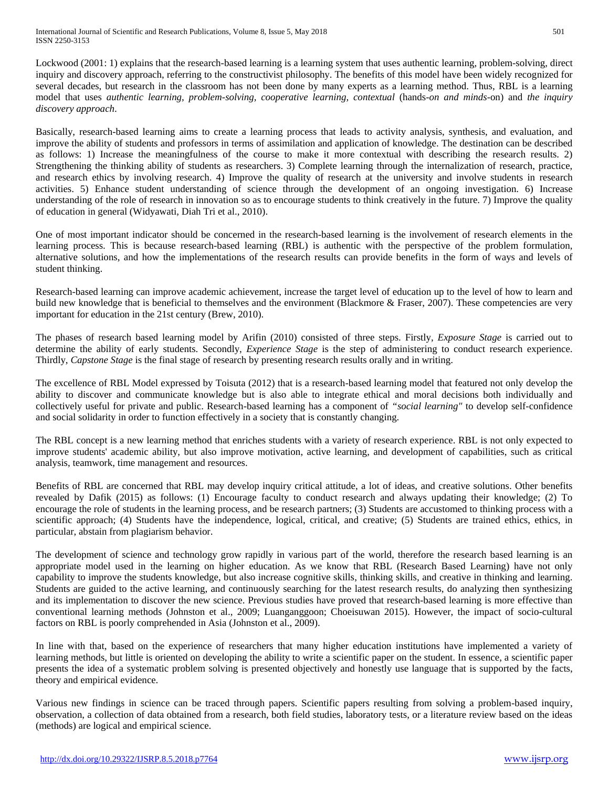International Journal of Scientific and Research Publications, Volume 8, Issue 5, May 2018 501 ISSN 2250-3153

Lockwood (2001: 1) explains that the research-based learning is a learning system that uses authentic learning, problem-solving, direct inquiry and discovery approach, referring to the constructivist philosophy. The benefits of this model have been widely recognized for several decades, but research in the classroom has not been done by many experts as a learning method. Thus, RBL is a learning model that uses *authentic learning, problem-solving, cooperative learning, contextual* (hands-*on and minds-*on) and *the inquiry discovery approach*.

Basically, research-based learning aims to create a learning process that leads to activity analysis, synthesis, and evaluation, and improve the ability of students and professors in terms of assimilation and application of knowledge. The destination can be described as follows: 1) Increase the meaningfulness of the course to make it more contextual with describing the research results. 2) Strengthening the thinking ability of students as researchers. 3) Complete learning through the internalization of research, practice, and research ethics by involving research. 4) Improve the quality of research at the university and involve students in research activities. 5) Enhance student understanding of science through the development of an ongoing investigation. 6) Increase understanding of the role of research in innovation so as to encourage students to think creatively in the future. 7) Improve the quality of education in general (Widyawati, Diah Tri et al., 2010).

One of most important indicator should be concerned in the research-based learning is the involvement of research elements in the learning process. This is because research-based learning (RBL) is authentic with the perspective of the problem formulation, alternative solutions, and how the implementations of the research results can provide benefits in the form of ways and levels of student thinking.

Research-based learning can improve academic achievement, increase the target level of education up to the level of how to learn and build new knowledge that is beneficial to themselves and the environment (Blackmore & Fraser, 2007). These competencies are very important for education in the 21st century (Brew, 2010).

The phases of research based learning model by Arifin (2010) consisted of three steps. Firstly, *Exposure Stage* is carried out to determine the ability of early students. Secondly, *Experience Stage* is the step of administering to conduct research experience. Thirdly, *Capstone Stage* is the final stage of research by presenting research results orally and in writing.

The excellence of RBL Model expressed by Toisuta (2012) that is a research-based learning model that featured not only develop the ability to discover and communicate knowledge but is also able to integrate ethical and moral decisions both individually and collectively useful for private and public. Research-based learning has a component of *"social learning"* to develop self-confidence and social solidarity in order to function effectively in a society that is constantly changing.

The RBL concept is a new learning method that enriches students with a variety of research experience. RBL is not only expected to improve students' academic ability, but also improve motivation, active learning, and development of capabilities, such as critical analysis, teamwork, time management and resources.

Benefits of RBL are concerned that RBL may develop inquiry critical attitude, a lot of ideas, and creative solutions. Other benefits revealed by Dafik (2015) as follows: (1) Encourage faculty to conduct research and always updating their knowledge; (2) To encourage the role of students in the learning process, and be research partners; (3) Students are accustomed to thinking process with a scientific approach; (4) Students have the independence, logical, critical, and creative; (5) Students are trained ethics, ethics, in particular, abstain from plagiarism behavior.

The development of science and technology grow rapidly in various part of the world, therefore the research based learning is an appropriate model used in the learning on higher education. As we know that RBL (Research Based Learning) have not only capability to improve the students knowledge, but also increase cognitive skills, thinking skills, and creative in thinking and learning. Students are guided to the active learning, and continuously searching for the latest research results, do analyzing then synthesizing and its implementation to discover the new science. Previous studies have proved that research-based learning is more effective than conventional learning methods (Johnston et al., 2009; Luanganggoon; Choeisuwan 2015). However, the impact of socio-cultural factors on RBL is poorly comprehended in Asia (Johnston et al., 2009).

In line with that, based on the experience of researchers that many higher education institutions have implemented a variety of learning methods, but little is oriented on developing the ability to write a scientific paper on the student. In essence, a scientific paper presents the idea of a systematic problem solving is presented objectively and honestly use language that is supported by the facts, theory and empirical evidence.

Various new findings in science can be traced through papers. Scientific papers resulting from solving a problem-based inquiry, observation, a collection of data obtained from a research, both field studies, laboratory tests, or a literature review based on the ideas (methods) are logical and empirical science.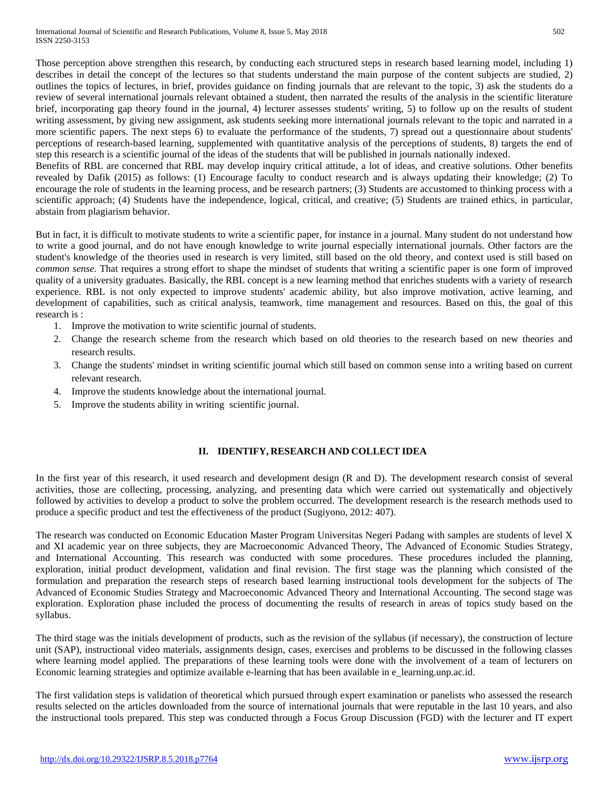Those perception above strengthen this research, by conducting each structured steps in research based learning model, including 1) describes in detail the concept of the lectures so that students understand the main purpose of the content subjects are studied, 2) outlines the topics of lectures, in brief, provides guidance on finding journals that are relevant to the topic, 3) ask the students do a review of several international journals relevant obtained a student, then narrated the results of the analysis in the scientific literature brief, incorporating gap theory found in the journal, 4) lecturer assesses students' writing, 5) to follow up on the results of student writing assessment, by giving new assignment, ask students seeking more international journals relevant to the topic and narrated in a more scientific papers. The next steps 6) to evaluate the performance of the students, 7) spread out a questionnaire about students' perceptions of research-based learning, supplemented with quantitative analysis of the perceptions of students, 8) targets the end of step this research is a scientific journal of the ideas of the students that will be published in journals nationally indexed.

Benefits of RBL are concerned that RBL may develop inquiry critical attitude, a lot of ideas, and creative solutions. Other benefits revealed by Dafik (2015) as follows: (1) Encourage faculty to conduct research and is always updating their knowledge; (2) To encourage the role of students in the learning process, and be research partners; (3) Students are accustomed to thinking process with a scientific approach; (4) Students have the independence, logical, critical, and creative; (5) Students are trained ethics, in particular, abstain from plagiarism behavior.

But in fact, it is difficult to motivate students to write a scientific paper, for instance in a journal. Many student do not understand how to write a good journal, and do not have enough knowledge to write journal especially international journals. Other factors are the student's knowledge of the theories used in research is very limited, still based on the old theory, and context used is still based on *common sense*. That requires a strong effort to shape the mindset of students that writing a scientific paper is one form of improved quality of a university graduates. Basically, the RBL concept is a new learning method that enriches students with a variety of research experience. RBL is not only expected to improve students' academic ability, but also improve motivation, active learning, and development of capabilities, such as critical analysis, teamwork, time management and resources. Based on this, the goal of this research is :

- 1. Improve the motivation to write scientific journal of students.
- 2. Change the research scheme from the research which based on old theories to the research based on new theories and research results.
- 3. Change the students' mindset in writing scientific journal which still based on common sense into a writing based on current relevant research.
- 4. Improve the students knowledge about the international journal.
- 5. Improve the students ability in writing scientific journal.

# **II. IDENTIFY, RESEARCH AND COLLECT IDEA**

In the first year of this research, it used research and development design (R and D). The development research consist of several activities, those are collecting, processing, analyzing, and presenting data which were carried out systematically and objectively followed by activities to develop a product to solve the problem occurred. The development research is the research methods used to produce a specific product and test the effectiveness of the product (Sugiyono, 2012: 407).

The research was conducted on Economic Education Master Program Universitas Negeri Padang with samples are students of level X and XI academic year on three subjects, they are Macroeconomic Advanced Theory, The Advanced of Economic Studies Strategy, and International Accounting. This research was conducted with some procedures. These procedures included the planning, exploration, initial product development, validation and final revision. The first stage was the planning which consisted of the formulation and preparation the research steps of research based learning instructional tools development for the subjects of The Advanced of Economic Studies Strategy and Macroeconomic Advanced Theory and International Accounting. The second stage was exploration. Exploration phase included the process of documenting the results of research in areas of topics study based on the syllabus.

The third stage was the initials development of products, such as the revision of the syllabus (if necessary), the construction of lecture unit (SAP), instructional video materials, assignments design, cases, exercises and problems to be discussed in the following classes where learning model applied. The preparations of these learning tools were done with the involvement of a team of lecturers on Economic learning strategies and optimize available e-learning that has been available in e\_learning.unp.ac.id.

The first validation steps is validation of theoretical which pursued through expert examination or panelists who assessed the research results selected on the articles downloaded from the source of international journals that were reputable in the last 10 years, and also the instructional tools prepared. This step was conducted through a Focus Group Discussion (FGD) with the lecturer and IT expert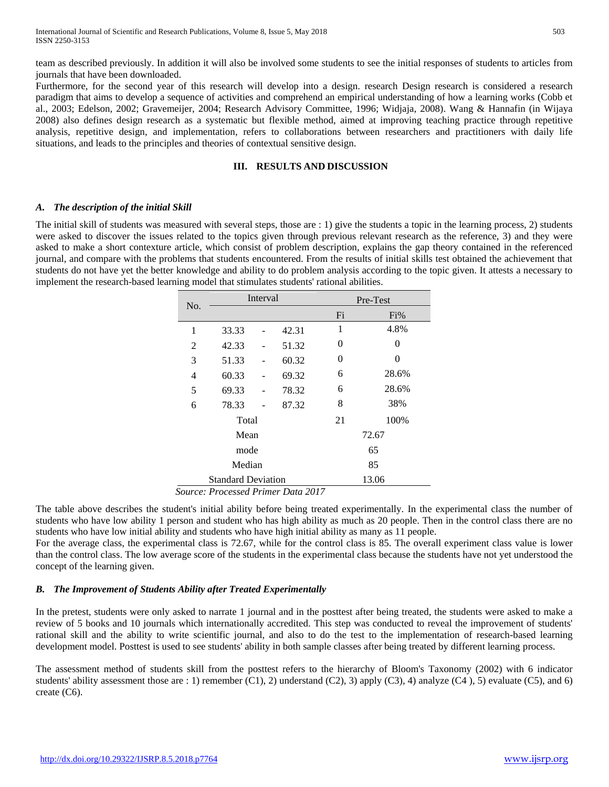team as described previously. In addition it will also be involved some students to see the initial responses of students to articles from journals that have been downloaded.

Furthermore, for the second year of this research will develop into a design. research Design research is considered a research paradigm that aims to develop a sequence of activities and comprehend an empirical understanding of how a learning works (Cobb et al., 2003; Edelson, 2002; Gravemeijer, 2004; Research Advisory Committee, 1996; Widjaja, 2008). Wang & Hannafin (in Wijaya 2008) also defines design research as a systematic but flexible method, aimed at improving teaching practice through repetitive analysis, repetitive design, and implementation, refers to collaborations between researchers and practitioners with daily life situations, and leads to the principles and theories of contextual sensitive design.

#### **III. RESULTS AND DISCUSSION**

#### *A. The description of the initial Skill*

The initial skill of students was measured with several steps, those are : 1) give the students a topic in the learning process, 2) students were asked to discover the issues related to the topics given through previous relevant research as the reference, 3) and they were asked to make a short contexture article, which consist of problem description, explains the gap theory contained in the referenced journal, and compare with the problems that students encountered. From the results of initial skills test obtained the achievement that students do not have yet the better knowledge and ability to do problem analysis according to the topic given. It attests a necessary to implement the research-based learning model that stimulates students' rational abilities.

| No.                       | Interval |  |       | Pre-Test |          |
|---------------------------|----------|--|-------|----------|----------|
|                           |          |  |       | Fi       | Fi%      |
| 1                         | 33.33    |  | 42.31 | 1        | 4.8%     |
| 2                         | 42.33    |  | 51.32 | 0        | $\theta$ |
| 3                         | 51.33    |  | 60.32 | 0        | $\theta$ |
| 4                         | 60.33    |  | 69.32 | 6        | 28.6%    |
| 5                         | 69.33    |  | 78.32 | 6        | 28.6%    |
| 6                         | 78.33    |  | 87.32 | 8        | 38%      |
| Total                     |          |  |       | 21       | 100%     |
| Mean                      |          |  |       | 72.67    |          |
| mode                      |          |  |       | 65       |          |
| Median                    |          |  |       | 85       |          |
| <b>Standard Deviation</b> |          |  |       | 13.06    |          |

*Source: Processed Primer Data 2017* 

The table above describes the student's initial ability before being treated experimentally. In the experimental class the number of students who have low ability 1 person and student who has high ability as much as 20 people. Then in the control class there are no students who have low initial ability and students who have high initial ability as many as 11 people.

For the average class, the experimental class is 72.67, while for the control class is 85. The overall experiment class value is lower than the control class. The low average score of the students in the experimental class because the students have not yet understood the concept of the learning given.

## *B. The Improvement of Students Ability after Treated Experimentally*

In the pretest, students were only asked to narrate 1 journal and in the posttest after being treated, the students were asked to make a review of 5 books and 10 journals which internationally accredited. This step was conducted to reveal the improvement of students' rational skill and the ability to write scientific journal, and also to do the test to the implementation of research-based learning development model. Posttest is used to see students' ability in both sample classes after being treated by different learning process.

The assessment method of students skill from the posttest refers to the hierarchy of Bloom's Taxonomy (2002) with 6 indicator students' ability assessment those are : 1) remember (C1), 2) understand (C2), 3) apply (C3), 4) analyze (C4), 5) evaluate (C5), and 6) create (C6).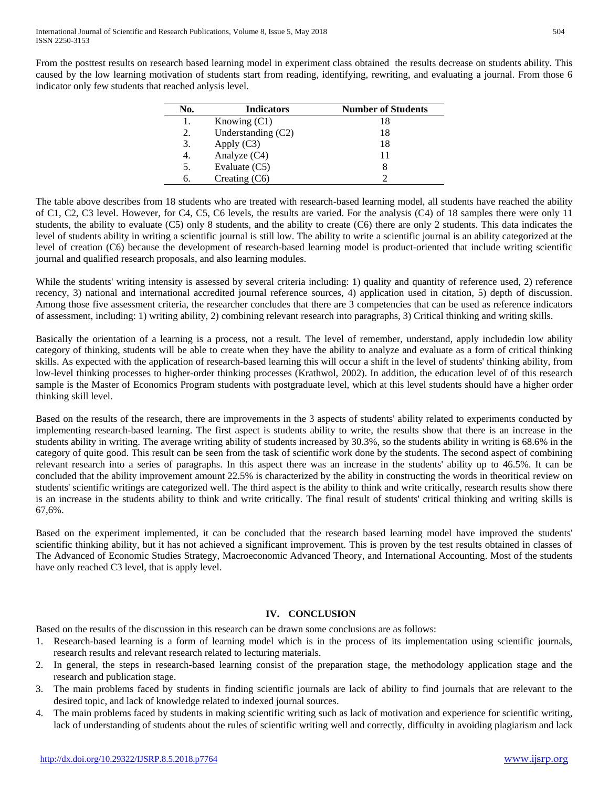From the posttest results on research based learning model in experiment class obtained the results decrease on students ability. This caused by the low learning motivation of students start from reading, identifying, rewriting, and evaluating a journal. From those 6 indicator only few students that reached anlysis level.

| No. | <b>Indicators</b>  | <b>Number of Students</b> |
|-----|--------------------|---------------------------|
|     | Knowing $(C1)$     |                           |
| 2.  | Understanding (C2) | 18                        |
| 3.  | Apply $(C3)$       | 18                        |
| 4.  | Analyze (C4)       |                           |
| 5.  | Evaluate $(C5)$    |                           |
| 6.  | Creating $(C6)$    |                           |

The table above describes from 18 students who are treated with research-based learning model, all students have reached the ability of C1, C2, C3 level. However, for C4, C5, C6 levels, the results are varied. For the analysis (C4) of 18 samples there were only 11 students, the ability to evaluate (C5) only 8 students, and the ability to create (C6) there are only 2 students. This data indicates the level of students ability in writing a scientific journal is still low. The ability to write a scientific journal is an ability categorized at the level of creation (C6) because the development of research-based learning model is product-oriented that include writing scientific journal and qualified research proposals, and also learning modules.

While the students' writing intensity is assessed by several criteria including: 1) quality and quantity of reference used, 2) reference recency, 3) national and international accredited journal reference sources, 4) application used in citation, 5) depth of discussion. Among those five assessment criteria, the researcher concludes that there are 3 competencies that can be used as reference indicators of assessment, including: 1) writing ability, 2) combining relevant research into paragraphs, 3) Critical thinking and writing skills.

Basically the orientation of a learning is a process, not a result. The level of remember, understand, apply includedin low ability category of thinking, students will be able to create when they have the ability to analyze and evaluate as a form of critical thinking skills. As expected with the application of research-based learning this will occur a shift in the level of students' thinking ability, from low-level thinking processes to higher-order thinking processes (Krathwol, 2002). In addition, the education level of of this research sample is the Master of Economics Program students with postgraduate level, which at this level students should have a higher order thinking skill level.

Based on the results of the research, there are improvements in the 3 aspects of students' ability related to experiments conducted by implementing research-based learning. The first aspect is students ability to write, the results show that there is an increase in the students ability in writing. The average writing ability of students increased by 30.3%, so the students ability in writing is 68.6% in the category of quite good. This result can be seen from the task of scientific work done by the students. The second aspect of combining relevant research into a series of paragraphs. In this aspect there was an increase in the students' ability up to 46.5%. It can be concluded that the ability improvement amount 22.5% is characterized by the ability in constructing the words in theoritical review on students' scientific writings are categorized well. The third aspect is the ability to think and write critically, research results show there is an increase in the students ability to think and write critically. The final result of students' critical thinking and writing skills is 67,6%.

Based on the experiment implemented, it can be concluded that the research based learning model have improved the students' scientific thinking ability, but it has not achieved a significant improvement. This is proven by the test results obtained in classes of The Advanced of Economic Studies Strategy, Macroeconomic Advanced Theory, and International Accounting. Most of the students have only reached C3 level, that is apply level.

# **IV. CONCLUSION**

Based on the results of the discussion in this research can be drawn some conclusions are as follows:

- 1. Research-based learning is a form of learning model which is in the process of its implementation using scientific journals, research results and relevant research related to lecturing materials.
- 2. In general, the steps in research-based learning consist of the preparation stage, the methodology application stage and the research and publication stage.
- 3. The main problems faced by students in finding scientific journals are lack of ability to find journals that are relevant to the desired topic, and lack of knowledge related to indexed journal sources.
- 4. The main problems faced by students in making scientific writing such as lack of motivation and experience for scientific writing, lack of understanding of students about the rules of scientific writing well and correctly, difficulty in avoiding plagiarism and lack